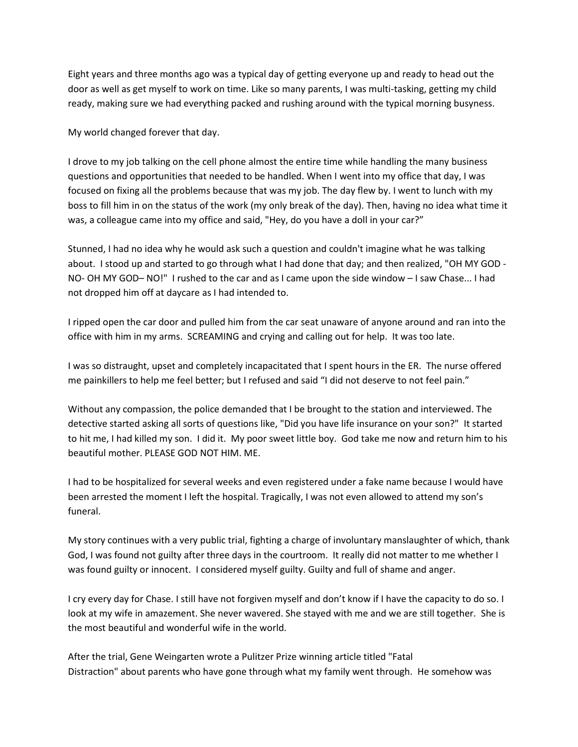Eight years and three months ago was a typical day of getting everyone up and ready to head out the door as well as get myself to work on time. Like so many parents, I was multi-tasking, getting my child ready, making sure we had everything packed and rushing around with the typical morning busyness.

My world changed forever that day.

I drove to my job talking on the cell phone almost the entire time while handling the many business questions and opportunities that needed to be handled. When I went into my office that day, I was focused on fixing all the problems because that was my job. The day flew by. I went to lunch with my boss to fill him in on the status of the work (my only break of the day). Then, having no idea what time it was, a colleague came into my office and said, "Hey, do you have a doll in your car?"

Stunned, I had no idea why he would ask such a question and couldn't imagine what he was talking about. I stood up and started to go through what I had done that day; and then realized, "OH MY GOD - NO- OH MY GOD– NO!" I rushed to the car and as I came upon the side window – I saw Chase... I had not dropped him off at daycare as I had intended to.

I ripped open the car door and pulled him from the car seat unaware of anyone around and ran into the office with him in my arms. SCREAMING and crying and calling out for help. It was too late.

I was so distraught, upset and completely incapacitated that I spent hours in the ER. The nurse offered me painkillers to help me feel better; but I refused and said "I did not deserve to not feel pain."

Without any compassion, the police demanded that I be brought to the station and interviewed. The detective started asking all sorts of questions like, "Did you have life insurance on your son?" It started to hit me, I had killed my son. I did it. My poor sweet little boy. God take me now and return him to his beautiful mother. PLEASE GOD NOT HIM. ME.

I had to be hospitalized for several weeks and even registered under a fake name because I would have been arrested the moment I left the hospital. Tragically, I was not even allowed to attend my son's funeral.

My story continues with a very public trial, fighting a charge of involuntary manslaughter of which, thank God, I was found not guilty after three days in the courtroom. It really did not matter to me whether I was found guilty or innocent. I considered myself guilty. Guilty and full of shame and anger.

I cry every day for Chase. I still have not forgiven myself and don't know if I have the capacity to do so. I look at my wife in amazement. She never wavered. She stayed with me and we are still together. She is the most beautiful and wonderful wife in the world.

After the trial, Gene Weingarten wrote a Pulitzer Prize winning article titled "Fatal Distraction" about parents who have gone through what my family went through. He somehow was